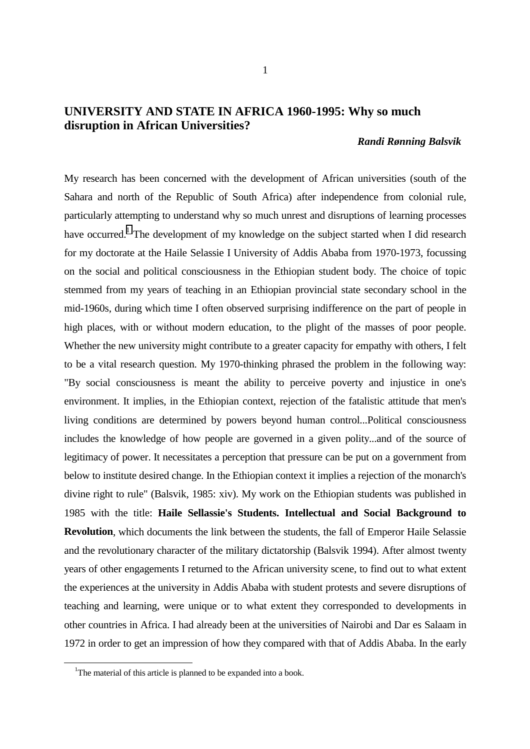## **UNIVERSITY AND STATE IN AFRICA 1960-1995: Why so much disruption in African Universities?**

## *Randi Rønning Balsvik*

My research has been concerned with the development of African universities (south of the Sahara and north of the Republic of South Africa) after independence from colonial rule, particularly attempting to understand why so much unrest and disruptions of learning processes have occurred.<sup>1</sup> The development of my knowledge on the subject started when I did research for my doctorate at the Haile Selassie I University of Addis Ababa from 1970-1973, focussing on the social and political consciousness in the Ethiopian student body. The choice of topic stemmed from my years of teaching in an Ethiopian provincial state secondary school in the mid-1960s, during which time I often observed surprising indifference on the part of people in high places, with or without modern education, to the plight of the masses of poor people. Whether the new university might contribute to a greater capacity for empathy with others, I felt to be a vital research question. My 1970-thinking phrased the problem in the following way: "By social consciousness is meant the ability to perceive poverty and injustice in one's environment. It implies, in the Ethiopian context, rejection of the fatalistic attitude that men's living conditions are determined by powers beyond human control...Political consciousness includes the knowledge of how people are governed in a given polity...and of the source of legitimacy of power. It necessitates a perception that pressure can be put on a government from below to institute desired change. In the Ethiopian context it implies a rejection of the monarch's divine right to rule" (Balsvik, 1985: xiv). My work on the Ethiopian students was published in 1985 with the title: **Haile Sellassie's Students. Intellectual and Social Background to Revolution**, which documents the link between the students, the fall of Emperor Haile Selassie and the revolutionary character of the military dictatorship (Balsvik 1994). After almost twenty years of other engagements I returned to the African university scene, to find out to what extent the experiences at the university in Addis Ababa with student protests and severe disruptions of teaching and learning, were unique or to what extent they corresponded to developments in other countries in Africa. I had already been at the universities of Nairobi and Dar es Salaam in 1972 in order to get an impression of how they compared with that of Addis Ababa. In the early

<sup>&</sup>lt;sup>1</sup>The material of this article is planned to be expanded into a book.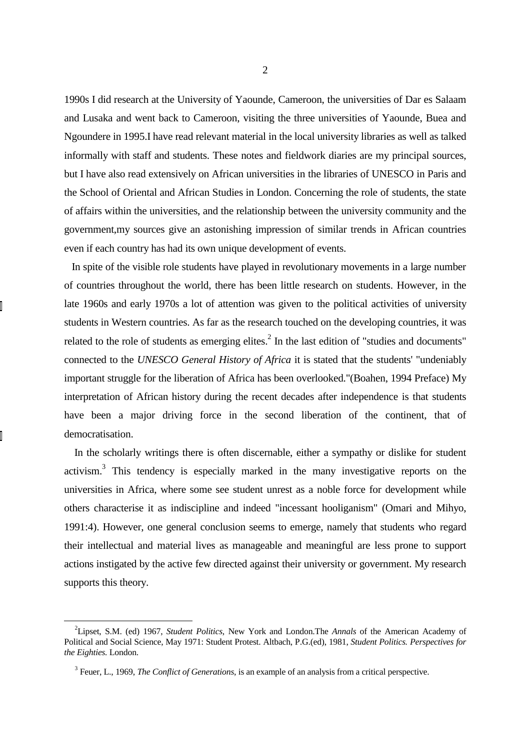1990s I did research at the University of Yaounde, Cameroon, the universities of Dar es Salaam and Lusaka and went back to Cameroon, visiting the three universities of Yaounde, Buea and Ngoundere in 1995.I have read relevant material in the local university libraries as well as talked informally with staff and students. These notes and fieldwork diaries are my principal sources, but I have also read extensively on African universities in the libraries of UNESCO in Paris and the School of Oriental and African Studies in London. Concerning the role of students, the state of affairs within the universities, and the relationship between the university community and the government,my sources give an astonishing impression of similar trends in African countries even if each country has had its own unique development of events.

 In spite of the visible role students have played in revolutionary movements in a large number of countries throughout the world, there has been little research on students. However, in the late 1960s and early 1970s a lot of attention was given to the political activities of university students in Western countries. As far as the research touched on the developing countries, it was related to the role of students as emerging elites. $<sup>2</sup>$  In the last edition of "studies and documents"</sup> connected to the *UNESCO General History of Africa* it is stated that the students' "undeniably important struggle for the liberation of Africa has been overlooked."(Boahen, 1994 Preface) My interpretation of African history during the recent decades after independence is that students have been a major driving force in the second liberation of the continent, that of democratisation.

 In the scholarly writings there is often discernable, either a sympathy or dislike for student activism.<sup>3</sup> This tendency is especially marked in the many investigative reports on the universities in Africa, where some see student unrest as a noble force for development while others characterise it as indiscipline and indeed "incessant hooliganism" (Omari and Mihyo, 1991:4). However, one general conclusion seems to emerge, namely that students who regard their intellectual and material lives as manageable and meaningful are less prone to support actions instigated by the active few directed against their university or government. My research supports this theory.

<sup>&</sup>lt;sup>2</sup> Lipset, S.M. (ed) 1967, *Student Politics*, New York and London. The *Annals* of the American Academy of Political and Social Science, May 1971: Student Protest. Altbach, P.G.(ed), 1981, *Student Politics. Perspectives for the Eighties.* London.

<sup>&</sup>lt;sup>3</sup> Feuer, L., 1969, *The Conflict of Generations*, is an example of an analysis from a critical perspective.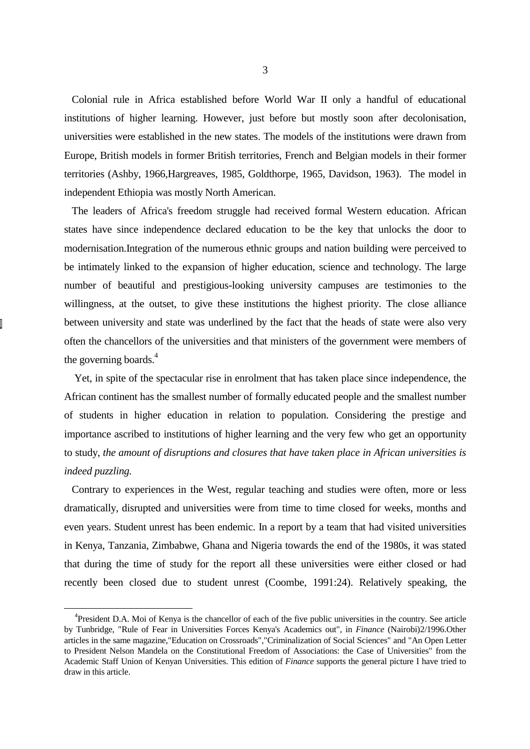Colonial rule in Africa established before World War II only a handful of educational institutions of higher learning. However, just before but mostly soon after decolonisation, universities were established in the new states. The models of the institutions were drawn from Europe, British models in former British territories, French and Belgian models in their former territories (Ashby, 1966,Hargreaves, 1985, Goldthorpe, 1965, Davidson, 1963). The model in independent Ethiopia was mostly North American.

 The leaders of Africa's freedom struggle had received formal Western education. African states have since independence declared education to be the key that unlocks the door to modernisation.Integration of the numerous ethnic groups and nation building were perceived to be intimately linked to the expansion of higher education, science and technology. The large number of beautiful and prestigious-looking university campuses are testimonies to the willingness, at the outset, to give these institutions the highest priority. The close alliance between university and state was underlined by the fact that the heads of state were also very often the chancellors of the universities and that ministers of the government were members of the governing boards. $4$ 

 Yet, in spite of the spectacular rise in enrolment that has taken place since independence, the African continent has the smallest number of formally educated people and the smallest number of students in higher education in relation to population. Considering the prestige and importance ascribed to institutions of higher learning and the very few who get an opportunity to study, *the amount of disruptions and closures that have taken place in African universities is indeed puzzling.*

 Contrary to experiences in the West, regular teaching and studies were often, more or less dramatically, disrupted and universities were from time to time closed for weeks, months and even years. Student unrest has been endemic. In a report by a team that had visited universities in Kenya, Tanzania, Zimbabwe, Ghana and Nigeria towards the end of the 1980s, it was stated that during the time of study for the report all these universities were either closed or had recently been closed due to student unrest (Coombe, 1991:24). Relatively speaking, the

<sup>&</sup>lt;sup>4</sup>President D.A. Moi of Kenya is the chancellor of each of the five public universities in the country. See article by Tunbridge, "Rule of Fear in Universities Forces Kenya's Academics out", in *Finance* (Nairobi)2/1996.Other articles in the same magazine,"Education on Crossroads","Criminalization of Social Sciences" and "An Open Letter to President Nelson Mandela on the Constitutional Freedom of Associations: the Case of Universities" from the Academic Staff Union of Kenyan Universities. This edition of *Finance* supports the general picture I have tried to draw in this article.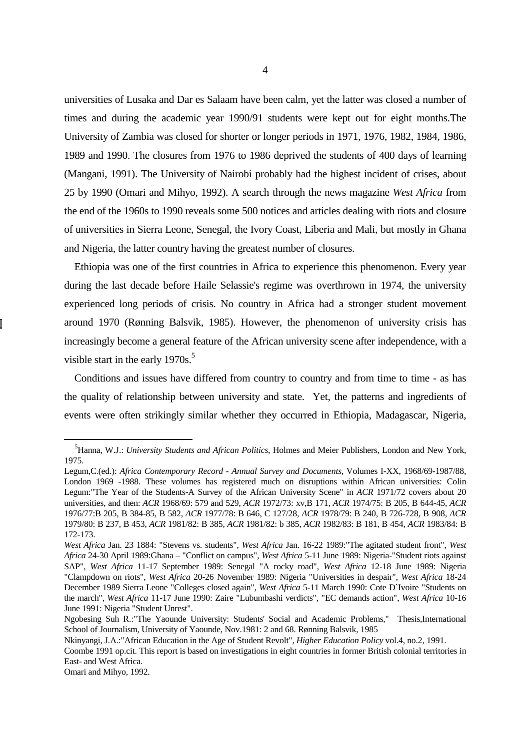universities of Lusaka and Dar es Salaam have been calm, yet the latter was closed a number of times and during the academic year 1990/91 students were kept out for eight months.The University of Zambia was closed for shorter or longer periods in 1971, 1976, 1982, 1984, 1986, 1989 and 1990. The closures from 1976 to 1986 deprived the students of 400 days of learning (Mangani, 1991). The University of Nairobi probably had the highest incident of crises, about 25 by 1990 (Omari and Mihyo, 1992). A search through the news magazine *West Africa* from the end of the 1960s to 1990 reveals some 500 notices and articles dealing with riots and closure of universities in Sierra Leone, Senegal, the Ivory Coast, Liberia and Mali, but mostly in Ghana and Nigeria, the latter country having the greatest number of closures.

 Ethiopia was one of the first countries in Africa to experience this phenomenon. Every year during the last decade before Haile Selassie's regime was overthrown in 1974, the university experienced long periods of crisis. No country in Africa had a stronger student movement around 1970 (Rønning Balsvik, 1985). However, the phenomenon of university crisis has increasingly become a general feature of the African university scene after independence, with a visible start in the early  $1970s$ .<sup>5</sup>

 Conditions and issues have differed from country to country and from time to time - as has the quality of relationship between university and state. Yet, the patterns and ingredients of events were often strikingly similar whether they occurred in Ethiopia, Madagascar, Nigeria,

<sup>5</sup> Hanna, W.J.: *University Students and African Politics*, Holmes and Meier Publishers, London and New York, 1975.

Legum,C.(ed.): *Africa Contemporary Record - Annual Survey and Documents*, Volumes I-XX, 1968/69-1987/88, London 1969 -1988. These volumes has registered much on disruptions within African universities: Colin Legum:"The Year of the Students-A Survey of the African University Scene" in *ACR* 1971/72 covers about 20 universities, and then: *ACR* 1968/69: 579 and 529, *ACR* 1972/73: xv,B 171, *ACR* 1974/75: B 205, B 644-45, *ACR* 1976/77:B 205, B 384-85, B 582, *ACR* 1977/78: B 646, C 127/28, *ACR* 1978/79: B 240, B 726-728, B 908, *ACR* 1979/80: B 237, B 453, *ACR* 1981/82: B 385, *ACR* 1981/82: b 385, *ACR* 1982/83: B 181, B 454, *ACR* 1983/84: B 172-173.

*West Africa* Jan. 23 1884: "Stevens vs. students", *West Africa* Jan. 16-22 1989:"The agitated student front", *West Africa* 24-30 April 1989:Ghana – "Conflict on campus", *West Africa* 5-11 June 1989: Nigeria-"Student riots against SAP", *West Africa* 11-17 September 1989: Senegal "A rocky road", *West Africa* 12-18 June 1989: Nigeria "Clampdown on riots", *West Africa* 20-26 November 1989: Nigeria "Universities in despair", *West Africa* 18-24 December 1989 Sierra Leone "Colleges closed again", *West Africa* 5-11 March 1990: Cote D`Ivoire "Students on the march", *West Africa* 11-17 June 1990: Zaire "Lubumbashi verdicts", "EC demands action", *West Africa* 10-16 June 1991: Nigeria "Student Unrest".

Ngobesing Suh R.:"The Yaounde University: Students' Social and Academic Problems," Thesis,International School of Journalism, University of Yaounde, Nov.1981: 2 and 68. Rønning Balsvik, 1985

Nkinyangi, J.A.:"African Education in the Age of Student Revolt", *Higher Education Policy* vol.4, no.2, 1991.

Coombe 1991 op.cit. This report is based on investigations in eight countries in former British colonial territories in East- and West Africa.

Omari and Mihyo, 1992.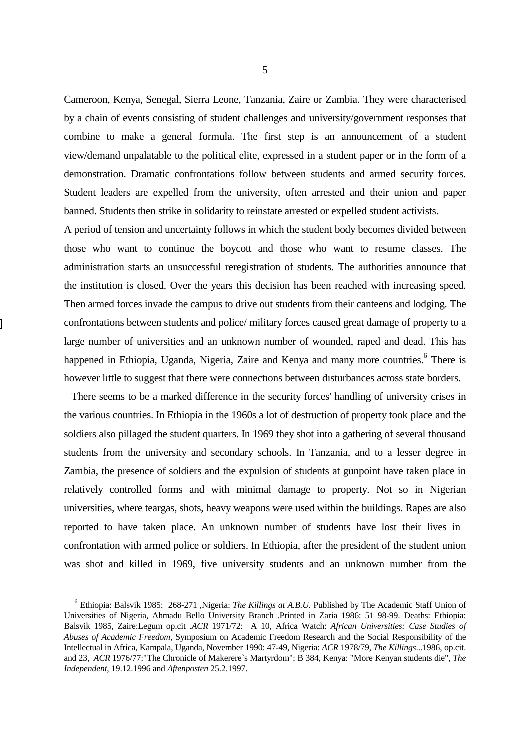Cameroon, Kenya, Senegal, Sierra Leone, Tanzania, Zaire or Zambia. They were characterised by a chain of events consisting of student challenges and university/government responses that combine to make a general formula. The first step is an announcement of a student view/demand unpalatable to the political elite, expressed in a student paper or in the form of a demonstration. Dramatic confrontations follow between students and armed security forces. Student leaders are expelled from the university, often arrested and their union and paper banned. Students then strike in solidarity to reinstate arrested or expelled student activists.

A period of tension and uncertainty follows in which the student body becomes divided between those who want to continue the boycott and those who want to resume classes. The administration starts an unsuccessful reregistration of students. The authorities announce that the institution is closed. Over the years this decision has been reached with increasing speed. Then armed forces invade the campus to drive out students from their canteens and lodging. The confrontations between students and police/ military forces caused great damage of property to a large number of universities and an unknown number of wounded, raped and dead. This has happened in Ethiopia, Uganda, Nigeria, Zaire and Kenya and many more countries.<sup>6</sup> There is however little to suggest that there were connections between disturbances across state borders.

 There seems to be a marked difference in the security forces' handling of university crises in the various countries. In Ethiopia in the 1960s a lot of destruction of property took place and the soldiers also pillaged the student quarters. In 1969 they shot into a gathering of several thousand students from the university and secondary schools. In Tanzania, and to a lesser degree in Zambia, the presence of soldiers and the expulsion of students at gunpoint have taken place in relatively controlled forms and with minimal damage to property. Not so in Nigerian universities, where teargas, shots, heavy weapons were used within the buildings. Rapes are also reported to have taken place. An unknown number of students have lost their lives in confrontation with armed police or soldiers. In Ethiopia, after the president of the student union was shot and killed in 1969, five university students and an unknown number from the

<sup>&</sup>lt;sup>6</sup> Ethiopia: Balsvik 1985: 268-271 , Nigeria: *The Killings at A.B.U*. Published by The Academic Staff Union of Universities of Nigeria, Ahmadu Bello University Branch .Printed in Zaria 1986: 51 98-99. Deaths: Ethiopia: Balsvik 1985, Zaire:Legum op.cit .*ACR* 1971/72: A 10, Africa Watch: *African Universities: Case Studies of Abuses of Academic Freedom*, Symposium on Academic Freedom Research and the Social Responsibility of the Intellectual in Africa, Kampala, Uganda, November 1990: 47-49, Nigeria: *ACR* 1978/79, *The Killings*...1986, op.cit. and 23, *ACR* 1976/77:"The Chronicle of Makerere`s Martyrdom": B 384, Kenya: "More Kenyan students die", *The Independent*, 19.12.1996 and *Aftenposten* 25.2.1997.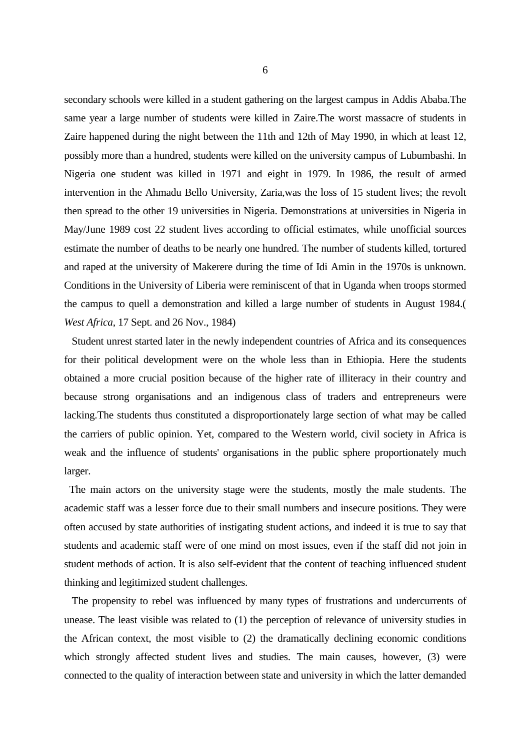secondary schools were killed in a student gathering on the largest campus in Addis Ababa.The same year a large number of students were killed in Zaire.The worst massacre of students in Zaire happened during the night between the 11th and 12th of May 1990, in which at least 12, possibly more than a hundred, students were killed on the university campus of Lubumbashi. In Nigeria one student was killed in 1971 and eight in 1979. In 1986, the result of armed intervention in the Ahmadu Bello University, Zaria,was the loss of 15 student lives; the revolt then spread to the other 19 universities in Nigeria. Demonstrations at universities in Nigeria in May/June 1989 cost 22 student lives according to official estimates, while unofficial sources estimate the number of deaths to be nearly one hundred. The number of students killed, tortured and raped at the university of Makerere during the time of Idi Amin in the 1970s is unknown. Conditions in the University of Liberia were reminiscent of that in Uganda when troops stormed the campus to quell a demonstration and killed a large number of students in August 1984.( *West Africa*, 17 Sept. and 26 Nov., 1984)

 Student unrest started later in the newly independent countries of Africa and its consequences for their political development were on the whole less than in Ethiopia. Here the students obtained a more crucial position because of the higher rate of illiteracy in their country and because strong organisations and an indigenous class of traders and entrepreneurs were lacking.The students thus constituted a disproportionately large section of what may be called the carriers of public opinion. Yet, compared to the Western world, civil society in Africa is weak and the influence of students' organisations in the public sphere proportionately much larger.

 The main actors on the university stage were the students, mostly the male students. The academic staff was a lesser force due to their small numbers and insecure positions. They were often accused by state authorities of instigating student actions, and indeed it is true to say that students and academic staff were of one mind on most issues, even if the staff did not join in student methods of action. It is also self-evident that the content of teaching influenced student thinking and legitimized student challenges.

 The propensity to rebel was influenced by many types of frustrations and undercurrents of unease. The least visible was related to (1) the perception of relevance of university studies in the African context, the most visible to (2) the dramatically declining economic conditions which strongly affected student lives and studies. The main causes, however, (3) were connected to the quality of interaction between state and university in which the latter demanded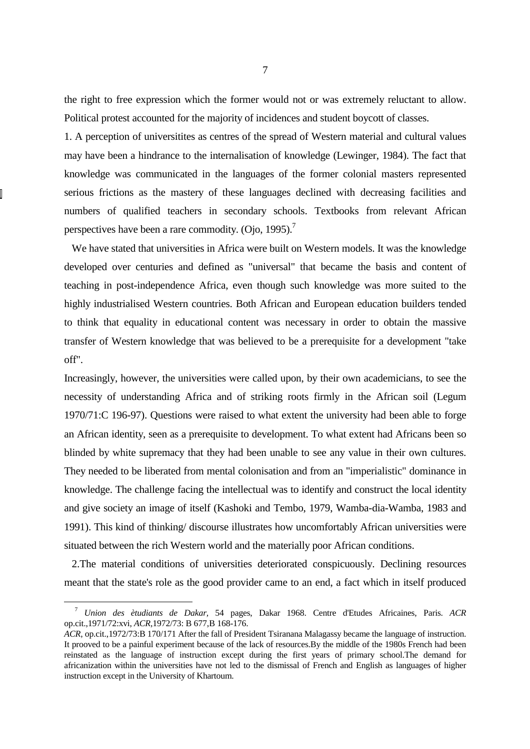the right to free expression which the former would not or was extremely reluctant to allow. Political protest accounted for the majority of incidences and student boycott of classes.

1. A perception of universitites as centres of the spread of Western material and cultural values may have been a hindrance to the internalisation of knowledge (Lewinger, 1984). The fact that knowledge was communicated in the languages of the former colonial masters represented serious frictions as the mastery of these languages declined with decreasing facilities and numbers of qualified teachers in secondary schools. Textbooks from relevant African perspectives have been a rare commodity. (Oio,  $1995$ ).<sup>7</sup>

 We have stated that universities in Africa were built on Western models. It was the knowledge developed over centuries and defined as "universal" that became the basis and content of teaching in post-independence Africa, even though such knowledge was more suited to the highly industrialised Western countries. Both African and European education builders tended to think that equality in educational content was necessary in order to obtain the massive transfer of Western knowledge that was believed to be a prerequisite for a development "take off".

Increasingly, however, the universities were called upon, by their own academicians, to see the necessity of understanding Africa and of striking roots firmly in the African soil (Legum 1970/71:C 196-97). Questions were raised to what extent the university had been able to forge an African identity, seen as a prerequisite to development. To what extent had Africans been so blinded by white supremacy that they had been unable to see any value in their own cultures. They needed to be liberated from mental colonisation and from an "imperialistic" dominance in knowledge. The challenge facing the intellectual was to identify and construct the local identity and give society an image of itself (Kashoki and Tembo, 1979, Wamba-dia-Wamba, 1983 and 1991). This kind of thinking/ discourse illustrates how uncomfortably African universities were situated between the rich Western world and the materially poor African conditions.

 2.The material conditions of universities deteriorated conspicuously. Declining resources meant that the state's role as the good provider came to an end, a fact which in itself produced

<sup>7</sup> *Union des ètudiants de Dakar,* 54 pages, Dakar 1968. Centre d'Etudes Africaines, Paris. *ACR* op.cit.,1971/72:xvi, *ACR*,1972/73: B 677,B 168-176.

*ACR*, op.cit.,1972/73:B 170/171 After the fall of President Tsiranana Malagassy became the language of instruction. It prooved to be a painful experiment because of the lack of resources.By the middle of the 1980s French had been reinstated as the language of instruction except during the first years of primary school.The demand for africanization within the universities have not led to the dismissal of French and English as languages of higher instruction except in the University of Khartoum.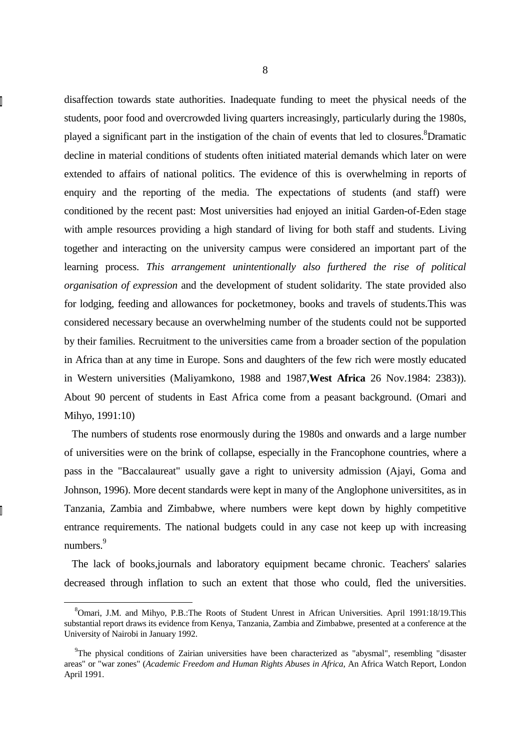disaffection towards state authorities. Inadequate funding to meet the physical needs of the students, poor food and overcrowded living quarters increasingly, particularly during the 1980s, played a significant part in the instigation of the chain of events that led to closures. <sup>8</sup>Dramatic decline in material conditions of students often initiated material demands which later on were extended to affairs of national politics. The evidence of this is overwhelming in reports of enquiry and the reporting of the media. The expectations of students (and staff) were conditioned by the recent past: Most universities had enjoyed an initial Garden-of-Eden stage with ample resources providing a high standard of living for both staff and students. Living together and interacting on the university campus were considered an important part of the learning process. *This arrangement unintentionally also furthered the rise of political organisation of expression* and the development of student solidarity. The state provided also for lodging, feeding and allowances for pocketmoney, books and travels of students.This was considered necessary because an overwhelming number of the students could not be supported by their families. Recruitment to the universities came from a broader section of the population in Africa than at any time in Europe. Sons and daughters of the few rich were mostly educated in Western universities (Maliyamkono, 1988 and 1987,**West Africa** 26 Nov.1984: 2383)). About 90 percent of students in East Africa come from a peasant background. (Omari and Mihyo, 1991:10)

 The numbers of students rose enormously during the 1980s and onwards and a large number of universities were on the brink of collapse, especially in the Francophone countries, where a pass in the "Baccalaureat" usually gave a right to university admission (Ajayi, Goma and Johnson, 1996). More decent standards were kept in many of the Anglophone universitites, as in Tanzania, Zambia and Zimbabwe, where numbers were kept down by highly competitive entrance requirements. The national budgets could in any case not keep up with increasing numbers.<sup>9</sup>

 The lack of books,journals and laboratory equipment became chronic. Teachers' salaries decreased through inflation to such an extent that those who could, fled the universities.

<sup>&</sup>lt;sup>8</sup>Omari, J.M. and Mihyo, P.B.:The Roots of Student Unrest in African Universities. April 1991:18/19.This substantial report draws its evidence from Kenya, Tanzania, Zambia and Zimbabwe, presented at a conference at the University of Nairobi in January 1992.

<sup>&</sup>lt;sup>9</sup>The physical conditions of Zairian universities have been characterized as "abysmal", resembling "disaster areas" or "war zones" (*Academic Freedom and Human Rights Abuses in Africa*, An Africa Watch Report, London April 1991.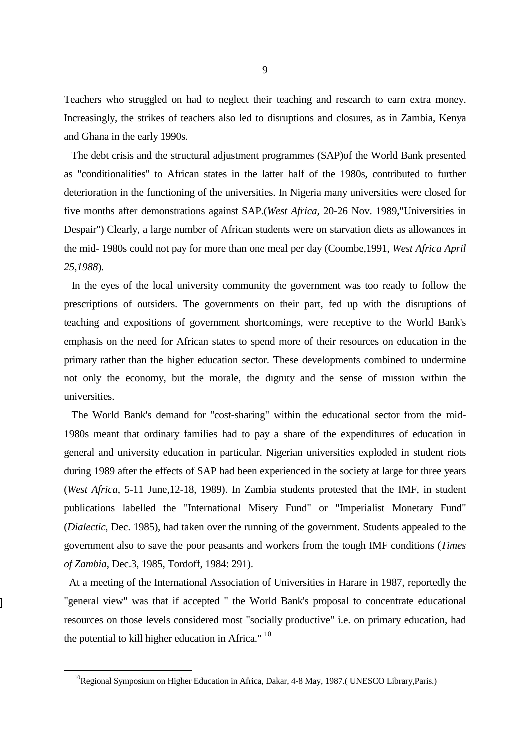Teachers who struggled on had to neglect their teaching and research to earn extra money. Increasingly, the strikes of teachers also led to disruptions and closures, as in Zambia, Kenya and Ghana in the early 1990s.

 The debt crisis and the structural adjustment programmes (SAP)of the World Bank presented as "conditionalities" to African states in the latter half of the 1980s, contributed to further deterioration in the functioning of the universities. In Nigeria many universities were closed for five months after demonstrations against SAP.(*West Africa,* 20-26 Nov. 1989,"Universities in Despair") Clearly, a large number of African students were on starvation diets as allowances in the mid- 1980s could not pay for more than one meal per day (Coombe,1991, *West Africa April 25,1988*).

 In the eyes of the local university community the government was too ready to follow the prescriptions of outsiders. The governments on their part, fed up with the disruptions of teaching and expositions of government shortcomings, were receptive to the World Bank's emphasis on the need for African states to spend more of their resources on education in the primary rather than the higher education sector. These developments combined to undermine not only the economy, but the morale, the dignity and the sense of mission within the universities.

 The World Bank's demand for "cost-sharing" within the educational sector from the mid-1980s meant that ordinary families had to pay a share of the expenditures of education in general and university education in particular. Nigerian universities exploded in student riots during 1989 after the effects of SAP had been experienced in the society at large for three years (*West Africa*, 5-11 June,12-18, 1989). In Zambia students protested that the IMF, in student publications labelled the "International Misery Fund" or "Imperialist Monetary Fund" (*Dialectic*, Dec. 1985), had taken over the running of the government. Students appealed to the government also to save the poor peasants and workers from the tough IMF conditions (*Times of Zambia*, Dec.3, 1985, Tordoff, 1984: 291).

 At a meeting of the International Association of Universities in Harare in 1987, reportedly the "general view" was that if accepted " the World Bank's proposal to concentrate educational resources on those levels considered most "socially productive" i.e. on primary education, had the potential to kill higher education in Africa." <sup>10</sup>

<sup>&</sup>lt;sup>10</sup>Regional Symposium on Higher Education in Africa, Dakar, 4-8 May, 1987.( UNESCO Library, Paris.)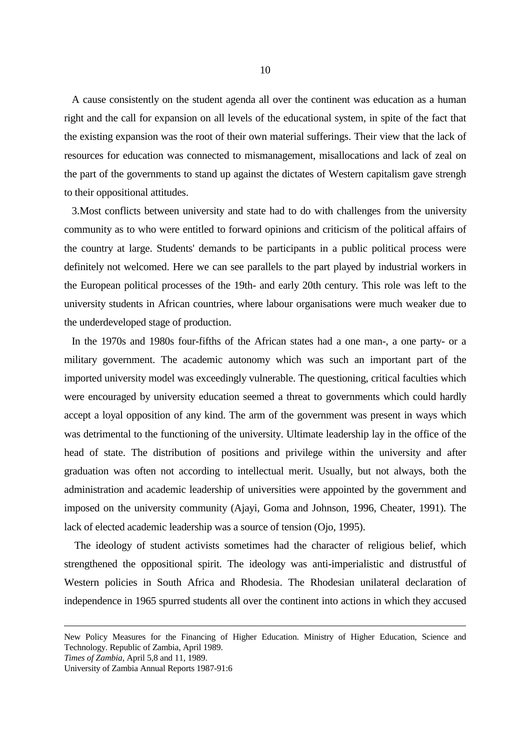A cause consistently on the student agenda all over the continent was education as a human right and the call for expansion on all levels of the educational system, in spite of the fact that the existing expansion was the root of their own material sufferings. Their view that the lack of resources for education was connected to mismanagement, misallocations and lack of zeal on the part of the governments to stand up against the dictates of Western capitalism gave strengh to their oppositional attitudes.

 3.Most conflicts between university and state had to do with challenges from the university community as to who were entitled to forward opinions and criticism of the political affairs of the country at large. Students' demands to be participants in a public political process were definitely not welcomed. Here we can see parallels to the part played by industrial workers in the European political processes of the 19th- and early 20th century. This role was left to the university students in African countries, where labour organisations were much weaker due to the underdeveloped stage of production.

 In the 1970s and 1980s four-fifths of the African states had a one man-, a one party- or a military government. The academic autonomy which was such an important part of the imported university model was exceedingly vulnerable. The questioning, critical faculties which were encouraged by university education seemed a threat to governments which could hardly accept a loyal opposition of any kind. The arm of the government was present in ways which was detrimental to the functioning of the university. Ultimate leadership lay in the office of the head of state. The distribution of positions and privilege within the university and after graduation was often not according to intellectual merit. Usually, but not always, both the administration and academic leadership of universities were appointed by the government and imposed on the university community (Ajayi, Goma and Johnson, 1996, Cheater, 1991). The lack of elected academic leadership was a source of tension (Ojo, 1995).

 The ideology of student activists sometimes had the character of religious belief, which strengthened the oppositional spirit. The ideology was anti-imperialistic and distrustful of Western policies in South Africa and Rhodesia. The Rhodesian unilateral declaration of independence in 1965 spurred students all over the continent into actions in which they accused

*Times of Zambia*, April 5,8 and 11, 1989.

New Policy Measures for the Financing of Higher Education. Ministry of Higher Education, Science and Technology. Republic of Zambia, April 1989.

University of Zambia Annual Reports 1987-91:6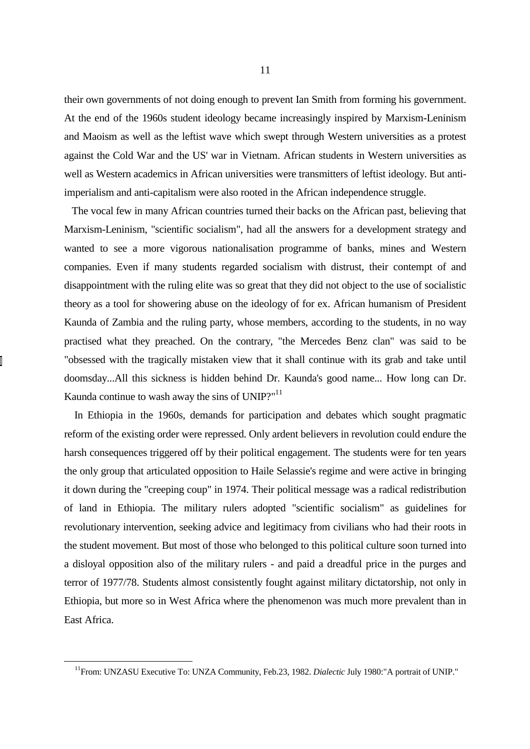their own governments of not doing enough to prevent Ian Smith from forming his government. At the end of the 1960s student ideology became increasingly inspired by Marxism-Leninism and Maoism as well as the leftist wave which swept through Western universities as a protest against the Cold War and the US' war in Vietnam. African students in Western universities as well as Western academics in African universities were transmitters of leftist ideology. But antiimperialism and anti-capitalism were also rooted in the African independence struggle.

 The vocal few in many African countries turned their backs on the African past, believing that Marxism-Leninism, "scientific socialism", had all the answers for a development strategy and wanted to see a more vigorous nationalisation programme of banks, mines and Western companies. Even if many students regarded socialism with distrust, their contempt of and disappointment with the ruling elite was so great that they did not object to the use of socialistic theory as a tool for showering abuse on the ideology of for ex. African humanism of President Kaunda of Zambia and the ruling party, whose members, according to the students, in no way practised what they preached. On the contrary, "the Mercedes Benz clan" was said to be "obsessed with the tragically mistaken view that it shall continue with its grab and take until doomsday...All this sickness is hidden behind Dr. Kaunda's good name... How long can Dr. Kaunda continue to wash away the sins of UNIP?"<sup>11</sup>

 In Ethiopia in the 1960s, demands for participation and debates which sought pragmatic reform of the existing order were repressed. Only ardent believers in revolution could endure the harsh consequences triggered off by their political engagement. The students were for ten years the only group that articulated opposition to Haile Selassie's regime and were active in bringing it down during the "creeping coup" in 1974. Their political message was a radical redistribution of land in Ethiopia. The military rulers adopted "scientific socialism" as guidelines for revolutionary intervention, seeking advice and legitimacy from civilians who had their roots in the student movement. But most of those who belonged to this political culture soon turned into a disloyal opposition also of the military rulers - and paid a dreadful price in the purges and terror of 1977/78. Students almost consistently fought against military dictatorship, not only in Ethiopia, but more so in West Africa where the phenomenon was much more prevalent than in East Africa.

<sup>&</sup>lt;sup>11</sup>From: UNZASU Executive To: UNZA Community, Feb.23, 1982. *Dialectic* July 1980:"A portrait of UNIP."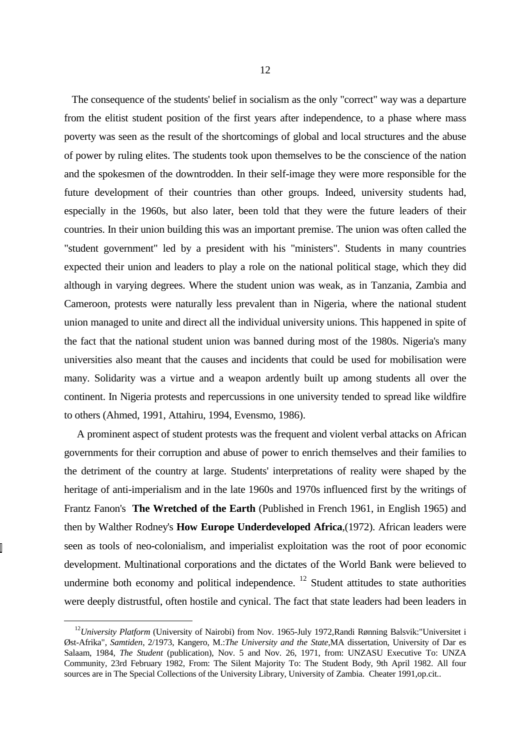The consequence of the students' belief in socialism as the only "correct" way was a departure from the elitist student position of the first years after independence, to a phase where mass poverty was seen as the result of the shortcomings of global and local structures and the abuse of power by ruling elites. The students took upon themselves to be the conscience of the nation and the spokesmen of the downtrodden. In their self-image they were more responsible for the future development of their countries than other groups. Indeed, university students had, especially in the 1960s, but also later, been told that they were the future leaders of their countries. In their union building this was an important premise. The union was often called the "student government" led by a president with his "ministers". Students in many countries expected their union and leaders to play a role on the national political stage, which they did although in varying degrees. Where the student union was weak, as in Tanzania, Zambia and Cameroon, protests were naturally less prevalent than in Nigeria, where the national student union managed to unite and direct all the individual university unions. This happened in spite of the fact that the national student union was banned during most of the 1980s. Nigeria's many universities also meant that the causes and incidents that could be used for mobilisation were many. Solidarity was a virtue and a weapon ardently built up among students all over the continent. In Nigeria protests and repercussions in one university tended to spread like wildfire to others (Ahmed, 1991, Attahiru, 1994, Evensmo, 1986).

 A prominent aspect of student protests was the frequent and violent verbal attacks on African governments for their corruption and abuse of power to enrich themselves and their families to the detriment of the country at large. Students' interpretations of reality were shaped by the heritage of anti-imperialism and in the late 1960s and 1970s influenced first by the writings of Frantz Fanon's **The Wretched of the Earth** (Published in French 1961, in English 1965) and then by Walther Rodney's **How Europe Underdeveloped Africa**,(1972). African leaders were seen as tools of neo-colonialism, and imperialist exploitation was the root of poor economic development. Multinational corporations and the dictates of the World Bank were believed to undermine both economy and political independence.  $12$  Student attitudes to state authorities were deeply distrustful, often hostile and cynical. The fact that state leaders had been leaders in

<sup>&</sup>lt;sup>12</sup>University Platform (University of Nairobi) from Nov. 1965-July 1972, Randi Rønning Balsvik: "Universitet i Øst-Afrika", *Samtiden*, 2/1973, Kangero, M.:*The University and the State*,MA dissertation, University of Dar es Salaam, 1984, *The Student* (publication), Nov. 5 and Nov. 26, 1971, from: UNZASU Executive To: UNZA Community, 23rd February 1982, From: The Silent Majority To: The Student Body, 9th April 1982. All four sources are in The Special Collections of the University Library, University of Zambia. Cheater 1991, op.cit..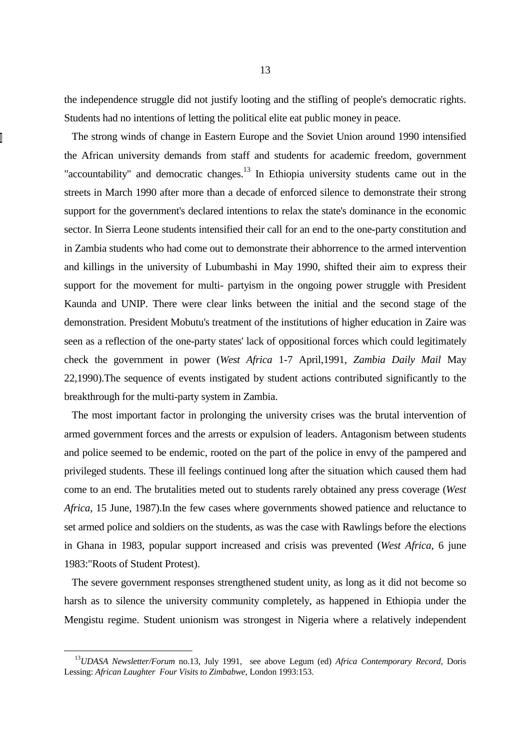the independence struggle did not justify looting and the stifling of people's democratic rights. Students had no intentions of letting the political elite eat public money in peace.

 The strong winds of change in Eastern Europe and the Soviet Union around 1990 intensified the African university demands from staff and students for academic freedom, government "accountability" and democratic changes.<sup>13</sup> In Ethiopia university students came out in the streets in March 1990 after more than a decade of enforced silence to demonstrate their strong support for the government's declared intentions to relax the state's dominance in the economic sector. In Sierra Leone students intensified their call for an end to the one-party constitution and in Zambia students who had come out to demonstrate their abhorrence to the armed intervention and killings in the university of Lubumbashi in May 1990, shifted their aim to express their support for the movement for multi- partyism in the ongoing power struggle with President Kaunda and UNIP. There were clear links between the initial and the second stage of the demonstration. President Mobutu's treatment of the institutions of higher education in Zaire was seen as a reflection of the one-party states' lack of oppositional forces which could legitimately check the government in power (*West Africa* 1-7 April,1991, *Zambia Daily Mail* May 22,1990).The sequence of events instigated by student actions contributed significantly to the breakthrough for the multi-party system in Zambia.

 The most important factor in prolonging the university crises was the brutal intervention of armed government forces and the arrests or expulsion of leaders. Antagonism between students and police seemed to be endemic, rooted on the part of the police in envy of the pampered and privileged students. These ill feelings continued long after the situation which caused them had come to an end. The brutalities meted out to students rarely obtained any press coverage (*West Africa*, 15 June, 1987).In the few cases where governments showed patience and reluctance to set armed police and soldiers on the students, as was the case with Rawlings before the elections in Ghana in 1983, popular support increased and crisis was prevented (*West Africa*, 6 june 1983:"Roots of Student Protest).

 The severe government responses strengthened student unity, as long as it did not become so harsh as to silence the university community completely, as happened in Ethiopia under the Mengistu regime. Student unionism was strongest in Nigeria where a relatively independent

<sup>13</sup>*UDASA Newsletter/Forum* no.13, July 1991, see above Legum (ed) *Africa Contemporary Record*, Doris Lessing: *African Laughter Four Visits to Zimbabwe*, London 1993:153.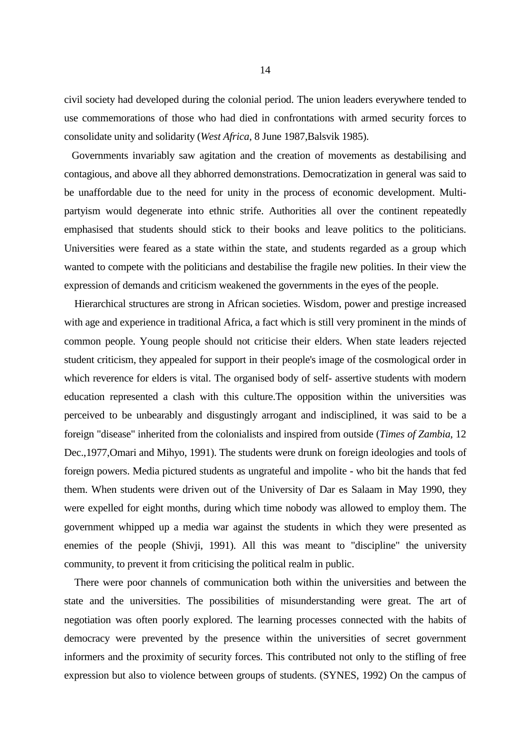civil society had developed during the colonial period. The union leaders everywhere tended to use commemorations of those who had died in confrontations with armed security forces to consolidate unity and solidarity (*West Africa*, 8 June 1987,Balsvik 1985).

 Governments invariably saw agitation and the creation of movements as destabilising and contagious, and above all they abhorred demonstrations. Democratization in general was said to be unaffordable due to the need for unity in the process of economic development. Multipartyism would degenerate into ethnic strife. Authorities all over the continent repeatedly emphasised that students should stick to their books and leave politics to the politicians. Universities were feared as a state within the state, and students regarded as a group which wanted to compete with the politicians and destabilise the fragile new polities. In their view the expression of demands and criticism weakened the governments in the eyes of the people.

 Hierarchical structures are strong in African societies. Wisdom, power and prestige increased with age and experience in traditional Africa, a fact which is still very prominent in the minds of common people. Young people should not criticise their elders. When state leaders rejected student criticism, they appealed for support in their people's image of the cosmological order in which reverence for elders is vital. The organised body of self- assertive students with modern education represented a clash with this culture.The opposition within the universities was perceived to be unbearably and disgustingly arrogant and indisciplined, it was said to be a foreign "disease" inherited from the colonialists and inspired from outside (*Times of Zambia*, 12 Dec.,1977,Omari and Mihyo, 1991). The students were drunk on foreign ideologies and tools of foreign powers. Media pictured students as ungrateful and impolite - who bit the hands that fed them. When students were driven out of the University of Dar es Salaam in May 1990, they were expelled for eight months, during which time nobody was allowed to employ them. The government whipped up a media war against the students in which they were presented as enemies of the people (Shivji, 1991). All this was meant to "discipline" the university community, to prevent it from criticising the political realm in public.

 There were poor channels of communication both within the universities and between the state and the universities. The possibilities of misunderstanding were great. The art of negotiation was often poorly explored. The learning processes connected with the habits of democracy were prevented by the presence within the universities of secret government informers and the proximity of security forces. This contributed not only to the stifling of free expression but also to violence between groups of students. (SYNES, 1992) On the campus of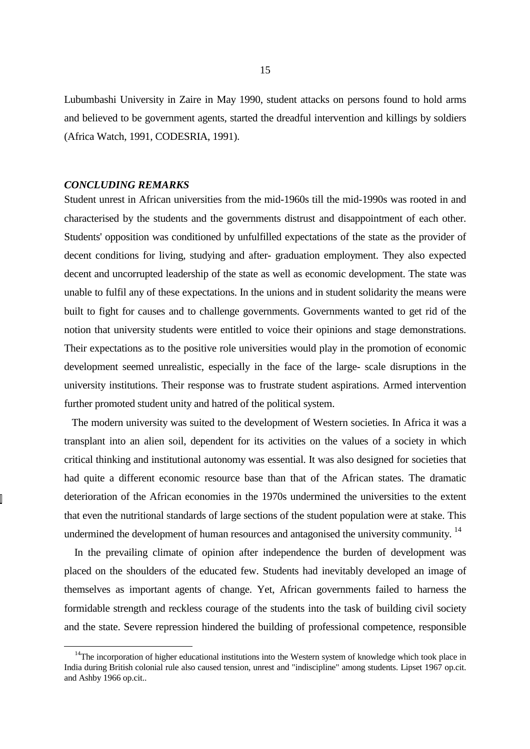Lubumbashi University in Zaire in May 1990, student attacks on persons found to hold arms and believed to be government agents, started the dreadful intervention and killings by soldiers (Africa Watch, 1991, CODESRIA, 1991).

## *CONCLUDING REMARKS*

 $\overline{a}$ 

Student unrest in African universities from the mid-1960s till the mid-1990s was rooted in and characterised by the students and the governments distrust and disappointment of each other. Students' opposition was conditioned by unfulfilled expectations of the state as the provider of decent conditions for living, studying and after- graduation employment. They also expected decent and uncorrupted leadership of the state as well as economic development. The state was unable to fulfil any of these expectations. In the unions and in student solidarity the means were built to fight for causes and to challenge governments. Governments wanted to get rid of the notion that university students were entitled to voice their opinions and stage demonstrations. Their expectations as to the positive role universities would play in the promotion of economic development seemed unrealistic, especially in the face of the large- scale disruptions in the university institutions. Their response was to frustrate student aspirations. Armed intervention further promoted student unity and hatred of the political system.

 The modern university was suited to the development of Western societies. In Africa it was a transplant into an alien soil, dependent for its activities on the values of a society in which critical thinking and institutional autonomy was essential. It was also designed for societies that had quite a different economic resource base than that of the African states. The dramatic deterioration of the African economies in the 1970s undermined the universities to the extent that even the nutritional standards of large sections of the student population were at stake. This undermined the development of human resources and antagonised the university community.<sup>14</sup>

 In the prevailing climate of opinion after independence the burden of development was placed on the shoulders of the educated few. Students had inevitably developed an image of themselves as important agents of change. Yet, African governments failed to harness the formidable strength and reckless courage of the students into the task of building civil society and the state. Severe repression hindered the building of professional competence, responsible

 $14$ The incorporation of higher educational institutions into the Western system of knowledge which took place in India during British colonial rule also caused tension, unrest and "indiscipline" among students. Lipset 1967 op.cit. and Ashby 1966 op.cit..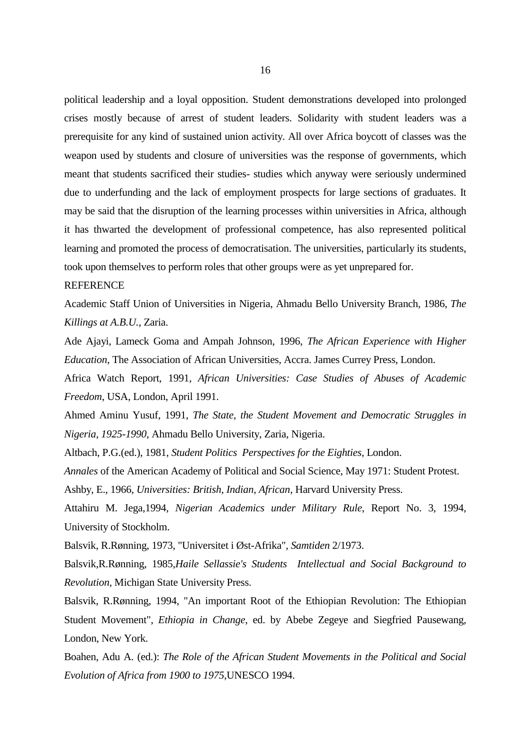political leadership and a loyal opposition. Student demonstrations developed into prolonged crises mostly because of arrest of student leaders. Solidarity with student leaders was a prerequisite for any kind of sustained union activity. All over Africa boycott of classes was the weapon used by students and closure of universities was the response of governments, which meant that students sacrificed their studies- studies which anyway were seriously undermined due to underfunding and the lack of employment prospects for large sections of graduates. It may be said that the disruption of the learning processes within universities in Africa, although it has thwarted the development of professional competence, has also represented political learning and promoted the process of democratisation. The universities, particularly its students, took upon themselves to perform roles that other groups were as yet unprepared for.

## **REFERENCE**

Academic Staff Union of Universities in Nigeria, Ahmadu Bello University Branch, 1986, *The Killings at A.B.U.*, Zaria.

Ade Ajayi, Lameck Goma and Ampah Johnson, 1996, *The African Experience with Higher Education*, The Association of African Universities, Accra. James Currey Press, London.

Africa Watch Report, 1991, *African Universities: Case Studies of Abuses of Academic Freedom*, USA, London, April 1991.

Ahmed Aminu Yusuf, 1991, *The State, the Student Movement and Democratic Struggles in Nigeria, 1925-1990*, Ahmadu Bello University, Zaria, Nigeria.

Altbach, P.G.(ed.), 1981, *Student Politics Perspectives for the Eighties*, London.

*Annales* of the American Academy of Political and Social Science, May 1971: Student Protest. Ashby, E., 1966, *Universities: British, Indian, African*, Harvard University Press.

Attahiru M. Jega,1994, *Nigerian Academics under Military Rule*, Report No. 3, 1994, University of Stockholm.

Balsvik, R.Rønning, 1973, "Universitet i Øst-Afrika", *Samtiden* 2/1973.

Balsvik,R.Rønning, 1985,*Haile Sellassie's Students Intellectual and Social Background to Revolution*, Michigan State University Press.

Balsvik, R.Rønning, 1994, "An important Root of the Ethiopian Revolution: The Ethiopian Student Movement", *Ethiopia in Change*, ed. by Abebe Zegeye and Siegfried Pausewang, London, New York.

Boahen, Adu A. (ed.): *The Role of the African Student Movements in the Political and Social Evolution of Africa from 1900 to 1975*,UNESCO 1994.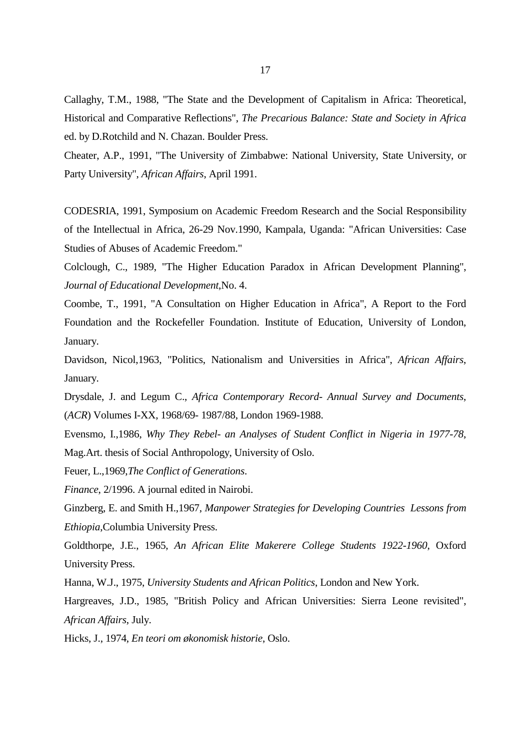Callaghy, T.M., 1988, "The State and the Development of Capitalism in Africa: Theoretical, Historical and Comparative Reflections", *The Precarious Balance: State and Society in Africa* ed. by D.Rotchild and N. Chazan. Boulder Press.

Cheater, A.P., 1991, "The University of Zimbabwe: National University, State University, or Party University", *African Affairs*, April 1991.

CODESRIA, 1991, Symposium on Academic Freedom Research and the Social Responsibility of the Intellectual in Africa, 26-29 Nov.1990, Kampala, Uganda: "African Universities: Case Studies of Abuses of Academic Freedom."

Colclough, C., 1989, "The Higher Education Paradox in African Development Planning", *Journal of Educational Development*,No. 4.

Coombe, T., 1991, "A Consultation on Higher Education in Africa", A Report to the Ford Foundation and the Rockefeller Foundation. Institute of Education, University of London, January.

Davidson, Nicol,1963, "Politics, Nationalism and Universities in Africa", *African Affairs*, January.

Drysdale, J. and Legum C., *Africa Contemporary Record- Annual Survey and Documents*, (*ACR*) Volumes I-XX, 1968/69- 1987/88, London 1969-1988.

Evensmo, I.,1986, *Why They Rebel- an Analyses of Student Conflict in Nigeria in 1977-78*, Mag.Art. thesis of Social Anthropology, University of Oslo.

Feuer, L.,1969,*The Conflict of Generations*.

*Finance*, 2/1996. A journal edited in Nairobi.

Ginzberg, E. and Smith H.,1967, *Manpower Strategies for Developing Countries Lessons from Ethiopia*,Columbia University Press.

Goldthorpe, J.E., 1965, *An African Elite Makerere College Students 1922-1960*, Oxford University Press.

Hanna, W.J., 1975, *University Students and African Politics*, London and New York.

Hargreaves, J.D., 1985, "British Policy and African Universities: Sierra Leone revisited", *African Affairs*, July.

Hicks, J., 1974, *En teori om økonomisk historie*, Oslo.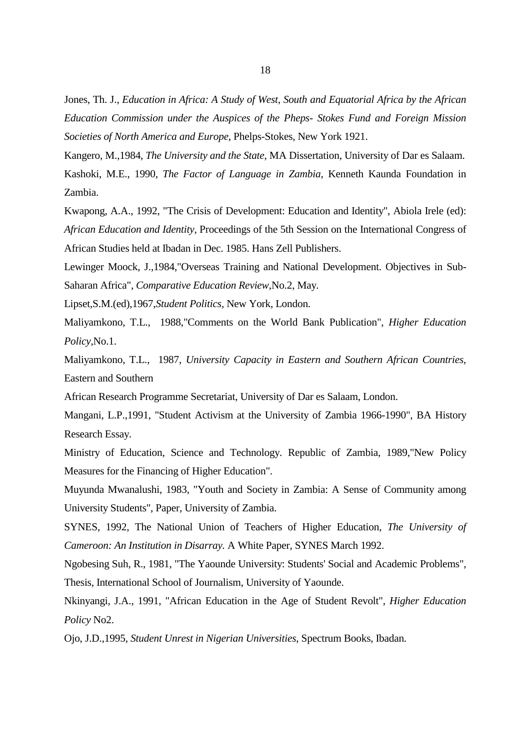Jones, Th. J., *Education in Africa: A Study of West, South and Equatorial Africa by the African Education Commission under the Auspices of the Pheps- Stokes Fund and Foreign Mission Societies of North America and Europe*, Phelps-Stokes, New York 1921.

Kangero, M.,1984, *The University and the State*, MA Dissertation, University of Dar es Salaam. Kashoki, M.E., 1990, *The Factor of Language in Zambia*, Kenneth Kaunda Foundation in Zambia.

Kwapong, A.A., 1992, "The Crisis of Development: Education and Identity", Abiola Irele (ed): *African Education and Identity*, Proceedings of the 5th Session on the International Congress of African Studies held at Ibadan in Dec. 1985. Hans Zell Publishers.

Lewinger Moock, J.,1984,"Overseas Training and National Development. Objectives in Sub-Saharan Africa", *Comparative Education Review*,No.2, May.

Lipset,S.M.(ed),1967,*Student Politics*, New York, London.

Maliyamkono, T.L., 1988,"Comments on the World Bank Publication", *Higher Education Policy*,No.1.

Maliyamkono, T.L., 1987, *University Capacity in Eastern and Southern African Countries*, Eastern and Southern

African Research Programme Secretariat, University of Dar es Salaam, London.

Mangani, L.P.,1991, "Student Activism at the University of Zambia 1966-1990", BA History Research Essay.

Ministry of Education, Science and Technology. Republic of Zambia, 1989,"New Policy Measures for the Financing of Higher Education".

Muyunda Mwanalushi, 1983, "Youth and Society in Zambia: A Sense of Community among University Students", Paper, University of Zambia.

SYNES, 1992, The National Union of Teachers of Higher Education, *The University of Cameroon: An Institution in Disarray.* A White Paper, SYNES March 1992.

Ngobesing Suh, R., 1981, "The Yaounde University: Students' Social and Academic Problems", Thesis, International School of Journalism, University of Yaounde.

Nkinyangi, J.A., 1991, "African Education in the Age of Student Revolt", *Higher Education Policy* No2.

Ojo, J.D.,1995, *Student Unrest in Nigerian Universities*, Spectrum Books, Ibadan.